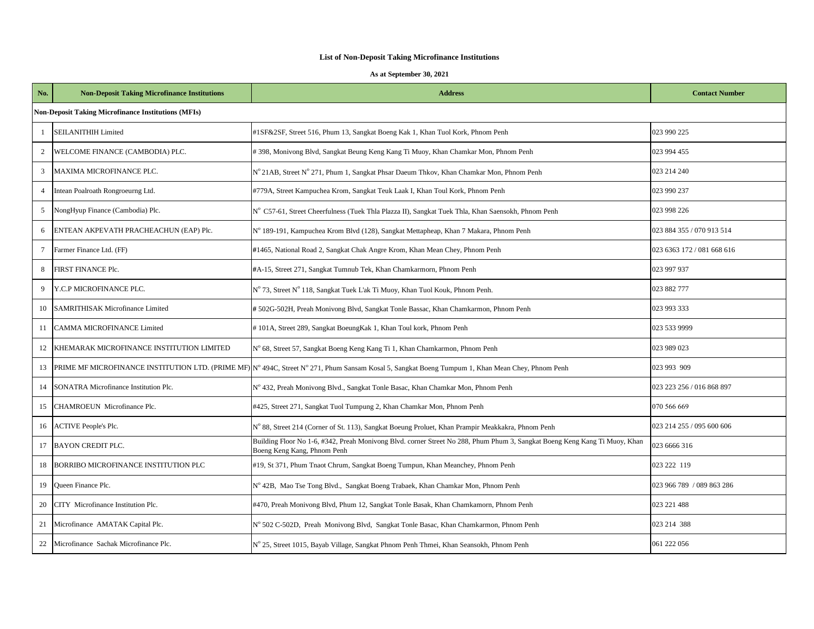| No.             | <b>Non-Deposit Taking Microfinance Institutions</b>        | <b>Address</b>                                                                                                                                            | <b>Contact Number</b>      |  |  |  |
|-----------------|------------------------------------------------------------|-----------------------------------------------------------------------------------------------------------------------------------------------------------|----------------------------|--|--|--|
|                 | <b>Non-Deposit Taking Microfinance Institutions (MFIs)</b> |                                                                                                                                                           |                            |  |  |  |
| $\mathbf{1}$    | <b>SEILANITHIH Limited</b>                                 | #1SF&2SF, Street 516, Phum 13, Sangkat Boeng Kak 1, Khan Tuol Kork, Phnom Penh                                                                            | 023 990 225                |  |  |  |
| $\overline{2}$  | WELCOME FINANCE (CAMBODIA) PLC.                            | #398, Monivong Blvd, Sangkat Beung Keng Kang Ti Muoy, Khan Chamkar Mon, Phnom Penh                                                                        | 023 994 455                |  |  |  |
| $\mathfrak{Z}$  | MAXIMA MICROFINANCE PLC.                                   | N° 21AB, Street N° 271, Phum 1, Sangkat Phsar Daeum Thkov, Khan Chamkar Mon, Phnom Penh                                                                   | 023 214 240                |  |  |  |
| $\overline{4}$  | Intean Poalroath Rongroeurng Ltd.                          | #779A, Street Kampuchea Krom, Sangkat Teuk Laak I, Khan Toul Kork, Phnom Penh                                                                             | 023 990 237                |  |  |  |
| 5               | NongHyup Finance (Cambodia) Plc.                           | N° C57-61, Street Cheerfulness (Tuek Thia Plazza II), Sangkat Tuek Thia, Khan Saensokh, Phnom Penh                                                        | 023 998 226                |  |  |  |
| 6               | ENTEAN AKPEVATH PRACHEACHUN (EAP) Plc.                     | N° 189-191, Kampuchea Krom Blvd (128), Sangkat Mettapheap, Khan 7 Makara, Phnom Penh                                                                      | 023 884 355 / 070 913 514  |  |  |  |
| $7\phantom{.0}$ | Farmer Finance Ltd. (FF)                                   | #1465, National Road 2, Sangkat Chak Angre Krom, Khan Mean Chey, Phnom Penh                                                                               | 023 6363 172 / 081 668 616 |  |  |  |
| 8               | FIRST FINANCE Plc.                                         | #A-15, Street 271, Sangkat Tumnub Tek, Khan Chamkarmorn, Phnom Penh                                                                                       | 023 997 937                |  |  |  |
| 9               | Y.C.P MICROFINANCE PLC.                                    | N° 73, Street N° 118, Sangkat Tuek L'ak Ti Muoy, Khan Tuol Kouk, Phnom Penh.                                                                              | 023 882 777                |  |  |  |
| 10              | <b>SAMRITHISAK Microfinance Limited</b>                    | #502G-502H, Preah Monivong Blvd, Sangkat Tonle Bassac, Khan Chamkarmon, Phnom Penh                                                                        | 023 993 333                |  |  |  |
| 11              | CAMMA MICROFINANCE Limited                                 | #101A, Street 289, Sangkat BoeungKak 1, Khan Toul kork, Phnom Penh                                                                                        | 023 533 9999               |  |  |  |
| 12              | KHEMARAK MICROFINANCE INSTITUTION LIMITED                  | N° 68, Street 57, Sangkat Boeng Keng Kang Ti 1, Khan Chamkarmon, Phnom Penh                                                                               | 023 989 023                |  |  |  |
| 13              |                                                            | PRIME MF MICROFINANCE INSTITUTION LTD. (PRIME MF) N° 494C, Street N° 271, Phum Sansam Kosal 5, Sangkat Boeng Tumpum 1, Khan Mean Chey, Phnom Penh         | 023 993 909                |  |  |  |
| 14              | SONATRA Microfinance Institution Plc.                      | N° 432, Preah Monivong Blvd., Sangkat Tonle Basac, Khan Chamkar Mon, Phnom Penh                                                                           | 023 223 256 / 016 868 897  |  |  |  |
| 15              | CHAMROEUN Microfinance Plc.                                | #425, Street 271, Sangkat Tuol Tumpung 2, Khan Chamkar Mon, Phnom Penh                                                                                    | 070 566 669                |  |  |  |
| 16              | <b>ACTIVE People's Plc.</b>                                | N° 88, Street 214 (Corner of St. 113), Sangkat Boeung Proluet, Khan Prampir Meakkakra, Phnom Penh                                                         | 023 214 255 / 095 600 606  |  |  |  |
| 17              | <b>BAYON CREDIT PLC.</b>                                   | Building Floor No 1-6, #342, Preah Monivong Blvd. corner Street No 288, Phum Phum 3, Sangkat Boeng Keng Kang Ti Muoy, Khan<br>Boeng Keng Kang, Phnom Penh | 023 6666 316               |  |  |  |
| 18              | BORRIBO MICROFINANCE INSTITUTION PLC                       | #19, St 371, Phum Tnaot Chrum, Sangkat Boeng Tumpun, Khan Meanchey, Phnom Penh                                                                            | 023 222 119                |  |  |  |
| 19              | Queen Finance Plc.                                         | N° 42B, Mao Tse Tong Blvd., Sangkat Boeng Trabaek, Khan Chamkar Mon, Phnom Penh                                                                           | 023 966 789 / 089 863 286  |  |  |  |
| 20              | CITY Microfinance Institution Plc.                         | #470, Preah Monivong Blvd, Phum 12, Sangkat Tonle Basak, Khan Chamkamorn, Phnom Penh                                                                      | 023 221 488                |  |  |  |
| 21              | Microfinance AMATAK Capital Plc.                           | N° 502 C-502D, Preah Monivong Blvd, Sangkat Tonle Basac, Khan Chamkarmon, Phnom Penh                                                                      | 023 214 388                |  |  |  |
| 22              | Microfinance Sachak Microfinance Plc.                      | N° 25, Street 1015, Bayab Village, Sangkat Phnom Penh Thmei, Khan Seansokh, Phnom Penh                                                                    | 061 222 056                |  |  |  |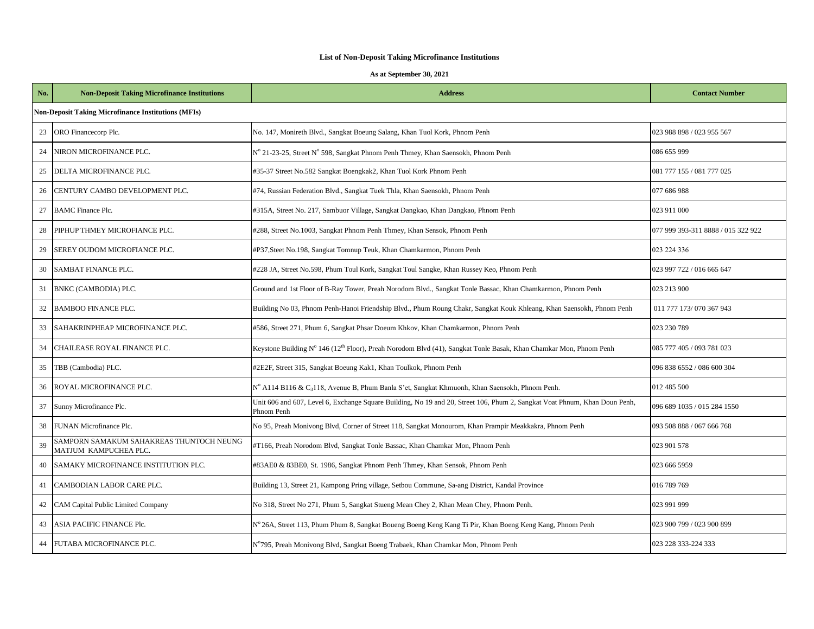| No. | <b>Non-Deposit Taking Microfinance Institutions</b>               | <b>Address</b>                                                                                                                           | <b>Contact Number</b>              |  |  |  |  |
|-----|-------------------------------------------------------------------|------------------------------------------------------------------------------------------------------------------------------------------|------------------------------------|--|--|--|--|
|     | <b>Non-Deposit Taking Microfinance Institutions (MFIs)</b>        |                                                                                                                                          |                                    |  |  |  |  |
| 23  | ORO Financecorp Plc.                                              | No. 147, Monireth Blvd., Sangkat Boeung Salang, Khan Tuol Kork, Phnom Penh                                                               | 023 988 898 / 023 955 567          |  |  |  |  |
| 24  | NIRON MICROFINANCE PLC.                                           | N° 21-23-25, Street N° 598, Sangkat Phnom Penh Thmey, Khan Saensokh, Phnom Penh                                                          | 086 655 999                        |  |  |  |  |
| 25  | DELTA MICROFINANCE PLC.                                           | #35-37 Street No.582 Sangkat Boengkak2, Khan Tuol Kork Phnom Penh                                                                        | 081 777 155 / 081 777 025          |  |  |  |  |
| 26  | CENTURY CAMBO DEVELOPMENT PLC.                                    | #74, Russian Federation Blvd., Sangkat Tuek Thla, Khan Saensokh, Phnom Penh                                                              | 077 686 988                        |  |  |  |  |
| 27  | <b>BAMC</b> Finance Plc.                                          | #315A, Street No. 217, Sambuor Village, Sangkat Dangkao, Khan Dangkao, Phnom Penh                                                        | 023 911 000                        |  |  |  |  |
| 28  | PIPHUP THMEY MICROFIANCE PLC.                                     | #288, Street No.1003, Sangkat Phnom Penh Thmey, Khan Sensok, Phnom Penh                                                                  | 077 999 393-311 8888 / 015 322 922 |  |  |  |  |
| 29  | SEREY OUDOM MICROFIANCE PLC.                                      | #P37, Steet No. 198, Sangkat Tomnup Teuk, Khan Chamkarmon, Phnom Penh                                                                    | 023 224 336                        |  |  |  |  |
| 30  | SAMBAT FINANCE PLC.                                               | #228 JA, Street No.598, Phum Toul Kork, Sangkat Toul Sangke, Khan Russey Keo, Phnom Penh                                                 | 023 997 722 / 016 665 647          |  |  |  |  |
| 31  | BNKC (CAMBODIA) PLC.                                              | Ground and 1st Floor of B-Ray Tower, Preah Norodom Blvd., Sangkat Tonle Bassac, Khan Chamkarmon, Phnom Penh                              | 023 213 900                        |  |  |  |  |
| 32  | <b>BAMBOO FINANCE PLC.</b>                                        | Building No 03, Phnom Penh-Hanoi Friendship Blvd., Phum Roung Chakr, Sangkat Kouk Khleang, Khan Saensokh, Phnom Penh                     | 011 777 173/070 367 943            |  |  |  |  |
| 33  | SAHAKRINPHEAP MICROFINANCE PLC.                                   | #586, Street 271, Phum 6, Sangkat Phsar Doeum Khkov, Khan Chamkarmon, Phnom Penh                                                         | 023 230 789                        |  |  |  |  |
| 34  | CHAILEASE ROYAL FINANCE PLC.                                      | Keystone Building N° 146 (12 <sup>th</sup> Floor), Preah Norodom Blvd (41), Sangkat Tonle Basak, Khan Chamkar Mon, Phnom Penh            | 085 777 405 / 093 781 023          |  |  |  |  |
| 35  | TBB (Cambodia) PLC.                                               | #2E2F, Street 315, Sangkat Boeung Kak1, Khan Toulkok, Phnom Penh                                                                         | 096 838 6552 / 086 600 304         |  |  |  |  |
| 36  | ROYAL MICROFINANCE PLC.                                           | N° A114 B116 & C <sub>3</sub> 118, Avenue B, Phum Banla S'et, Sangkat Khmuonh, Khan Saensokh, Phnom Penh.                                | 012 485 500                        |  |  |  |  |
| 37  | Sunny Microfinance Plc.                                           | Unit 606 and 607, Level 6, Exchange Square Building, No 19 and 20, Street 106, Phum 2, Sangkat Voat Phnum, Khan Doun Penh,<br>Phnom Penh | 096 689 1035 / 015 284 1550        |  |  |  |  |
| 38  | FUNAN Microfinance Plc.                                           | No 95, Preah Monivong Blvd, Corner of Street 118, Sangkat Monourom, Khan Prampir Meakkakra, Phnom Penh                                   | 093 508 888 / 067 666 768          |  |  |  |  |
| 39  | SAMPORN SAMAKUM SAHAKREAS THUNTOCH NEUNG<br>MATJUM KAMPUCHEA PLC. | #T166, Preah Norodom Blvd, Sangkat Tonle Bassac, Khan Chamkar Mon, Phnom Penh                                                            | 023 901 578                        |  |  |  |  |
| 40  | SAMAKY MICROFINANCE INSTITUTION PLC.                              | #83AE0 & 83BE0, St. 1986, Sangkat Phnom Penh Thmey, Khan Sensok, Phnom Penh                                                              | 023 666 5959                       |  |  |  |  |
| 41  | CAMBODIAN LABOR CARE PLC.                                         | Building 13, Street 21, Kampong Pring village, Setbou Commune, Sa-ang District, Kandal Province                                          | 016 789 769                        |  |  |  |  |
| 42  | CAM Capital Public Limited Company                                | No 318, Street No 271, Phum 5, Sangkat Stueng Mean Chey 2, Khan Mean Chey, Phnom Penh.                                                   | 023 991 999                        |  |  |  |  |
| 43  | ASIA PACIFIC FINANCE Plc.                                         | N° 26A, Street 113, Phum Phum 8, Sangkat Boueng Boeng Keng Kang Ti Pir, Khan Boeng Keng Kang, Phnom Penh                                 | 023 900 799 / 023 900 899          |  |  |  |  |
| 44  | FUTABA MICROFINANCE PLC.                                          | N°795, Preah Monivong Blvd, Sangkat Boeng Trabaek, Khan Chamkar Mon, Phnom Penh                                                          | 023 228 333-224 333                |  |  |  |  |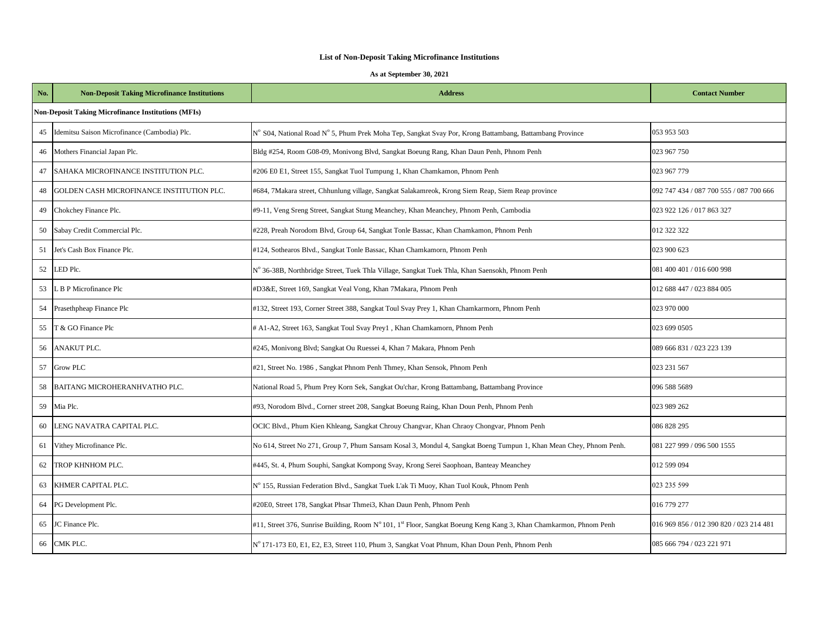| No. | <b>Non-Deposit Taking Microfinance Institutions</b>        | <b>Address</b>                                                                                                     | <b>Contact Number</b>                   |  |  |  |
|-----|------------------------------------------------------------|--------------------------------------------------------------------------------------------------------------------|-----------------------------------------|--|--|--|
|     | <b>Non-Deposit Taking Microfinance Institutions (MFIs)</b> |                                                                                                                    |                                         |  |  |  |
| 45  | Idemitsu Saison Microfinance (Cambodia) Plc.               | N° S04, National Road N° 5, Phum Prek Moha Tep, Sangkat Svay Por, Krong Battambang, Battambang Province            | 053 953 503                             |  |  |  |
| 46  | Mothers Financial Japan Plc.                               | Bldg #254, Room G08-09, Monivong Blvd, Sangkat Boeung Rang, Khan Daun Penh, Phnom Penh                             | 023 967 750                             |  |  |  |
| 47  | SAHAKA MICROFINANCE INSTITUTION PLC.                       | #206 E0 E1, Street 155, Sangkat Tuol Tumpung 1, Khan Chamkamon, Phnom Penh                                         | 023 967 779                             |  |  |  |
| 48  | GOLDEN CASH MICROFINANCE INSTITUTION PLC.                  | #684, 7Makara street, Chhunlung village, Sangkat Salakamreok, Krong Siem Reap, Siem Reap province                  | 092 747 434 / 087 700 555 / 087 700 666 |  |  |  |
| 49  | Chokchey Finance Plc.                                      | #9-11, Veng Sreng Street, Sangkat Stung Meanchey, Khan Meanchey, Phnom Penh, Cambodia                              | 023 922 126 / 017 863 327               |  |  |  |
| 50  | Sabay Credit Commercial Plc.                               | #228, Preah Norodom Blvd, Group 64, Sangkat Tonle Bassac, Khan Chamkamon, Phnom Penh                               | 012 322 322                             |  |  |  |
| 51  | Jet's Cash Box Finance Plc.                                | #124, Sothearos Blvd., Sangkat Tonle Bassac, Khan Chamkamorn, Phnom Penh                                           | 023 900 623                             |  |  |  |
| 52  | LED Plc.                                                   | N° 36-38B, Northbridge Street, Tuek Thla Village, Sangkat Tuek Thla, Khan Saensokh, Phnom Penh                     | 081 400 401 / 016 600 998               |  |  |  |
| 53  | L B P Microfinance Plc                                     | #D3&E, Street 169, Sangkat Veal Vong, Khan 7Makara, Phnom Penh                                                     | 012 688 447 / 023 884 005               |  |  |  |
| 54  | Prasethpheap Finance Plc                                   | #132, Street 193, Corner Street 388, Sangkat Toul Svay Prey 1, Khan Chamkarmorn, Phnom Penh                        | 023 970 000                             |  |  |  |
| 55  | T & GO Finance Plc                                         | # A1-A2, Street 163, Sangkat Toul Svay Prey1, Khan Chamkamorn, Phnom Penh                                          | 023 699 0505                            |  |  |  |
| 56  | ANAKUT PLC.                                                | #245, Monivong Blvd; Sangkat Ou Ruessei 4, Khan 7 Makara, Phnom Penh                                               | 089 666 831 / 023 223 139               |  |  |  |
| 57  | <b>Grow PLC</b>                                            | #21, Street No. 1986, Sangkat Phnom Penh Thmey, Khan Sensok, Phnom Penh                                            | 023 231 567                             |  |  |  |
| 58  | BAITANG MICROHERANHVATHO PLC.                              | National Road 5, Phum Prey Korn Sek, Sangkat Ou'char, Krong Battambang, Battambang Province                        | 096 588 5689                            |  |  |  |
| 59  | Mia Plc.                                                   | #93, Norodom Blvd., Corner street 208, Sangkat Boeung Raing, Khan Doun Penh, Phnom Penh                            | 023 989 262                             |  |  |  |
| 60  | LENG NAVATRA CAPITAL PLC.                                  | OCIC Blvd., Phum Kien Khleang, Sangkat Chrouy Changvar, Khan Chraoy Chongvar, Phnom Penh                           | 086 828 295                             |  |  |  |
| 61  | Vithey Microfinance Plc.                                   | No 614, Street No 271, Group 7, Phum Sansam Kosal 3, Mondul 4, Sangkat Boeng Tumpun 1, Khan Mean Chey, Phnom Penh. | 081 227 999 / 096 500 1555              |  |  |  |
| 62  | TROP KHNHOM PLC.                                           | #445, St. 4, Phum Souphi, Sangkat Kompong Svay, Krong Serei Saophoan, Banteay Meanchey                             | 012 599 094                             |  |  |  |
| 63  | KHMER CAPITAL PLC.                                         | N° 155, Russian Federation Blvd., Sangkat Tuek L'ak Ti Muoy, Khan Tuol Kouk, Phnom Penh                            | 023 235 599                             |  |  |  |
| 64  | PG Development Plc.                                        | #20E0, Street 178, Sangkat Phsar Thmei3, Khan Daun Penh, Phnom Penh                                                | 016 779 277                             |  |  |  |
| 65  | JC Finance Plc.                                            | #11, Street 376, Sunrise Building, Room Nº 101, 1st Floor, Sangkat Boeung Keng Kang 3, Khan Chamkarmon, Phnom Penh | 016 969 856 / 012 390 820 / 023 214 481 |  |  |  |
| 66  | CMK PLC.                                                   | N° 171-173 E0, E1, E2, E3, Street 110, Phum 3, Sangkat Voat Phnum, Khan Doun Penh, Phnom Penh                      | 085 666 794 / 023 221 971               |  |  |  |